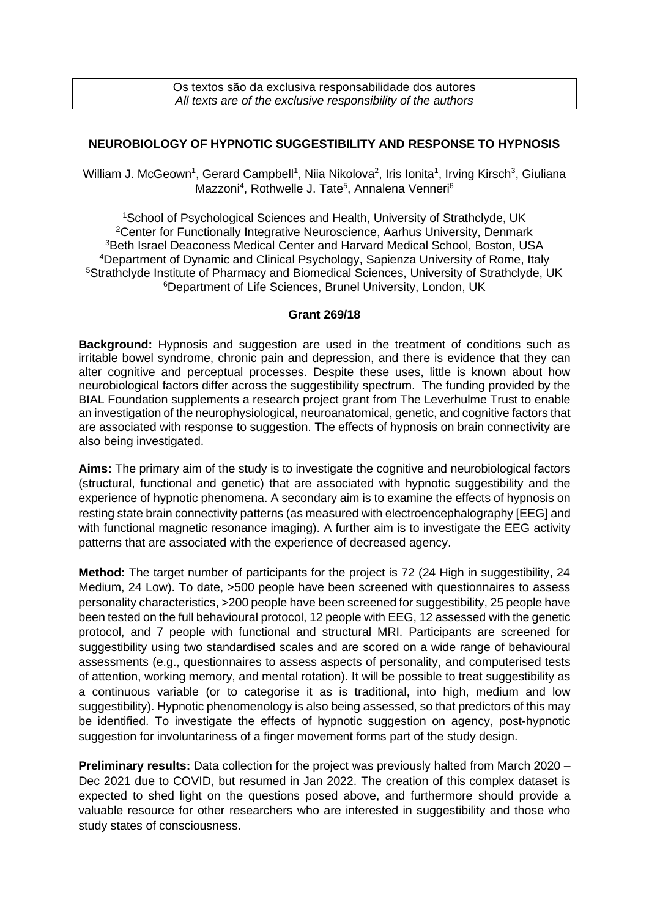## **NEUROBIOLOGY OF HYPNOTIC SUGGESTIBILITY AND RESPONSE TO HYPNOSIS**

William J. McGeown<sup>1</sup>, Gerard Campbell<sup>1</sup>, Niia Nikolova<sup>2</sup>, Iris Ionita<sup>1</sup>, Irving Kirsch<sup>3</sup>, Giuliana Mazzoni<sup>4</sup>, Rothwelle J. Tate<sup>5</sup>, Annalena Venneri<sup>6</sup>

School of Psychological Sciences and Health, University of Strathclyde, UK Center for Functionally Integrative Neuroscience, Aarhus University, Denmark Beth Israel Deaconess Medical Center and Harvard Medical School, Boston, USA Department of Dynamic and Clinical Psychology, Sapienza University of Rome, Italy <sup>5</sup>Strathclyde Institute of Pharmacy and Biomedical Sciences, University of Strathclyde, UK Department of Life Sciences, Brunel University, London, UK

## **Grant 269/18**

**Background:** Hypnosis and suggestion are used in the treatment of conditions such as irritable bowel syndrome, chronic pain and depression, and there is evidence that they can alter cognitive and perceptual processes. Despite these uses, little is known about how neurobiological factors differ across the suggestibility spectrum. The funding provided by the BIAL Foundation supplements a research project grant from The Leverhulme Trust to enable an investigation of the neurophysiological, neuroanatomical, genetic, and cognitive factors that are associated with response to suggestion. The effects of hypnosis on brain connectivity are also being investigated.

**Aims:** The primary aim of the study is to investigate the cognitive and neurobiological factors (structural, functional and genetic) that are associated with hypnotic suggestibility and the experience of hypnotic phenomena. A secondary aim is to examine the effects of hypnosis on resting state brain connectivity patterns (as measured with electroencephalography [EEG] and with functional magnetic resonance imaging). A further aim is to investigate the EEG activity patterns that are associated with the experience of decreased agency.

**Method:** The target number of participants for the project is 72 (24 High in suggestibility, 24 Medium, 24 Low). To date, >500 people have been screened with questionnaires to assess personality characteristics, >200 people have been screened for suggestibility, 25 people have been tested on the full behavioural protocol, 12 people with EEG, 12 assessed with the genetic protocol, and 7 people with functional and structural MRI. Participants are screened for suggestibility using two standardised scales and are scored on a wide range of behavioural assessments (e.g., questionnaires to assess aspects of personality, and computerised tests of attention, working memory, and mental rotation). It will be possible to treat suggestibility as a continuous variable (or to categorise it as is traditional, into high, medium and low suggestibility). Hypnotic phenomenology is also being assessed, so that predictors of this may be identified. To investigate the effects of hypnotic suggestion on agency, post-hypnotic suggestion for involuntariness of a finger movement forms part of the study design.

**Preliminary results:** Data collection for the project was previously halted from March 2020 – Dec 2021 due to COVID, but resumed in Jan 2022. The creation of this complex dataset is expected to shed light on the questions posed above, and furthermore should provide a valuable resource for other researchers who are interested in suggestibility and those who study states of consciousness.